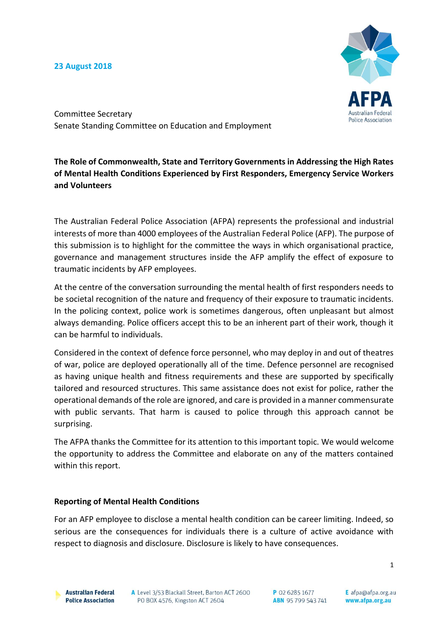#### **23 August 2018**



Committee Secretary Senate Standing Committee on Education and Employment

**The Role of Commonwealth, State and Territory Governments in Addressing the High Rates of Mental Health Conditions Experienced by First Responders, Emergency Service Workers and Volunteers**

The Australian Federal Police Association (AFPA) represents the professional and industrial interests of more than 4000 employees of the Australian Federal Police (AFP). The purpose of this submission is to highlight for the committee the ways in which organisational practice, governance and management structures inside the AFP amplify the effect of exposure to traumatic incidents by AFP employees.

At the centre of the conversation surrounding the mental health of first responders needs to be societal recognition of the nature and frequency of their exposure to traumatic incidents. In the policing context, police work is sometimes dangerous, often unpleasant but almost always demanding. Police officers accept this to be an inherent part of their work, though it can be harmful to individuals.

Considered in the context of defence force personnel, who may deploy in and out of theatres of war, police are deployed operationally all of the time. Defence personnel are recognised as having unique health and fitness requirements and these are supported by specifically tailored and resourced structures. This same assistance does not exist for police, rather the operational demands of the role are ignored, and care is provided in a manner commensurate with public servants. That harm is caused to police through this approach cannot be surprising.

The AFPA thanks the Committee for its attention to this important topic. We would welcome the opportunity to address the Committee and elaborate on any of the matters contained within this report.

#### **Reporting of Mental Health Conditions**

For an AFP employee to disclose a mental health condition can be career limiting. Indeed, so serious are the consequences for individuals there is a culture of active avoidance with respect to diagnosis and disclosure. Disclosure is likely to have consequences.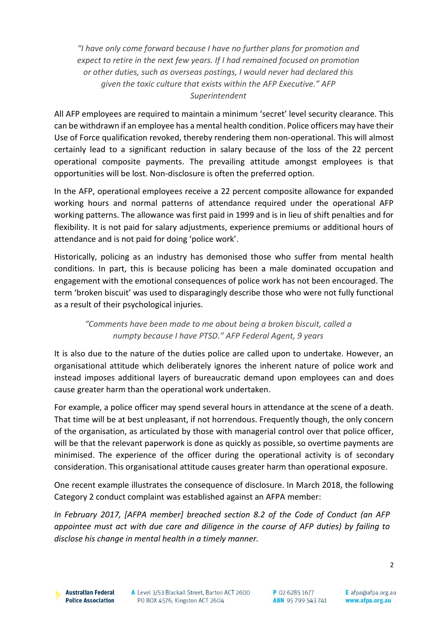*"I have only come forward because I have no further plans for promotion and expect to retire in the next few years. If I had remained focused on promotion or other duties, such as overseas postings, I would never had declared this given the toxic culture that exists within the AFP Executive." AFP Superintendent* 

All AFP employees are required to maintain a minimum 'secret' level security clearance. This can be withdrawn if an employee has a mental health condition. Police officers may have their Use of Force qualification revoked, thereby rendering them non-operational. This will almost certainly lead to a significant reduction in salary because of the loss of the 22 percent operational composite payments. The prevailing attitude amongst employees is that opportunities will be lost. Non-disclosure is often the preferred option.

In the AFP, operational employees receive a 22 percent composite allowance for expanded working hours and normal patterns of attendance required under the operational AFP working patterns. The allowance was first paid in 1999 and is in lieu of shift penalties and for flexibility. It is not paid for salary adjustments, experience premiums or additional hours of attendance and is not paid for doing 'police work'.

Historically, policing as an industry has demonised those who suffer from mental health conditions. In part, this is because policing has been a male dominated occupation and engagement with the emotional consequences of police work has not been encouraged. The term 'broken biscuit' was used to disparagingly describe those who were not fully functional as a result of their psychological injuries.

## *"Comments have been made to me about being a broken biscuit, called a numpty because I have PTSD." AFP Federal Agent, 9 years*

It is also due to the nature of the duties police are called upon to undertake. However, an organisational attitude which deliberately ignores the inherent nature of police work and instead imposes additional layers of bureaucratic demand upon employees can and does cause greater harm than the operational work undertaken.

For example, a police officer may spend several hours in attendance at the scene of a death. That time will be at best unpleasant, if not horrendous. Frequently though, the only concern of the organisation, as articulated by those with managerial control over that police officer, will be that the relevant paperwork is done as quickly as possible, so overtime payments are minimised. The experience of the officer during the operational activity is of secondary consideration. This organisational attitude causes greater harm than operational exposure.

One recent example illustrates the consequence of disclosure. In March 2018, the following Category 2 conduct complaint was established against an AFPA member:

*In February 2017, [AFPA member] breached section 8.2 of the Code of Conduct (an AFP appointee must act with due care and diligence in the course of AFP duties) by failing to disclose his change in mental health in a timely manner.*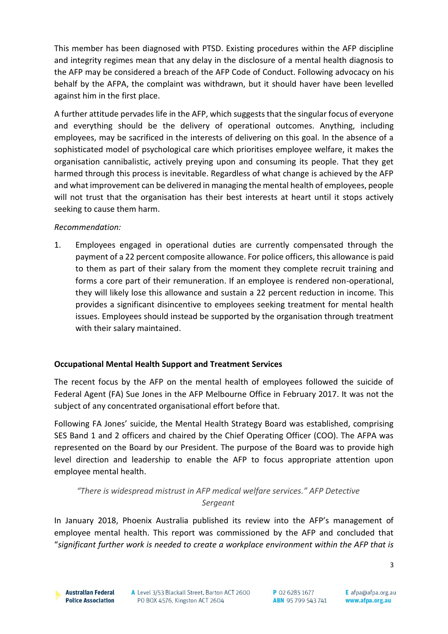This member has been diagnosed with PTSD. Existing procedures within the AFP discipline and integrity regimes mean that any delay in the disclosure of a mental health diagnosis to the AFP may be considered a breach of the AFP Code of Conduct. Following advocacy on his behalf by the AFPA, the complaint was withdrawn, but it should haver have been levelled against him in the first place.

A further attitude pervades life in the AFP, which suggests that the singular focus of everyone and everything should be the delivery of operational outcomes. Anything, including employees, may be sacrificed in the interests of delivering on this goal. In the absence of a sophisticated model of psychological care which prioritises employee welfare, it makes the organisation cannibalistic, actively preying upon and consuming its people. That they get harmed through this process is inevitable. Regardless of what change is achieved by the AFP and what improvement can be delivered in managing the mental health of employees, people will not trust that the organisation has their best interests at heart until it stops actively seeking to cause them harm.

## *Recommendation:*

1. Employees engaged in operational duties are currently compensated through the payment of a 22 percent composite allowance. For police officers, this allowance is paid to them as part of their salary from the moment they complete recruit training and forms a core part of their remuneration. If an employee is rendered non-operational, they will likely lose this allowance and sustain a 22 percent reduction in income. This provides a significant disincentive to employees seeking treatment for mental health issues. Employees should instead be supported by the organisation through treatment with their salary maintained.

## **Occupational Mental Health Support and Treatment Services**

The recent focus by the AFP on the mental health of employees followed the suicide of Federal Agent (FA) Sue Jones in the AFP Melbourne Office in February 2017. It was not the subject of any concentrated organisational effort before that.

Following FA Jones' suicide, the Mental Health Strategy Board was established, comprising SES Band 1 and 2 officers and chaired by the Chief Operating Officer (COO). The AFPA was represented on the Board by our President. The purpose of the Board was to provide high level direction and leadership to enable the AFP to focus appropriate attention upon employee mental health.

# *"There is widespread mistrust in AFP medical welfare services." AFP Detective Sergeant*

In January 2018, Phoenix Australia published its review into the AFP's management of employee mental health. This report was commissioned by the AFP and concluded that "*significant further work is needed to create a workplace environment within the AFP that is*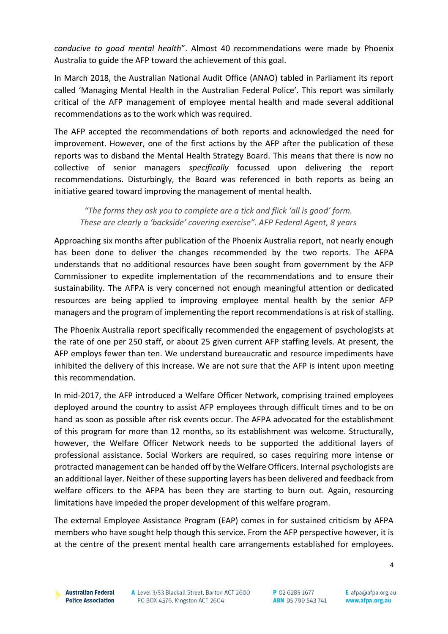*conducive to good mental health*". Almost 40 recommendations were made by Phoenix Australia to guide the AFP toward the achievement of this goal.

In March 2018, the Australian National Audit Office (ANAO) tabled in Parliament its report called 'Managing Mental Health in the Australian Federal Police'. This report was similarly critical of the AFP management of employee mental health and made several additional recommendations as to the work which was required.

The AFP accepted the recommendations of both reports and acknowledged the need for improvement. However, one of the first actions by the AFP after the publication of these reports was to disband the Mental Health Strategy Board. This means that there is now no collective of senior managers *specifically* focussed upon delivering the report recommendations. Disturbingly, the Board was referenced in both reports as being an initiative geared toward improving the management of mental health.

*"The forms they ask you to complete are a tick and flick 'all is good' form. These are clearly a 'backside' covering exercise". AFP Federal Agent, 8 years*

Approaching six months after publication of the Phoenix Australia report, not nearly enough has been done to deliver the changes recommended by the two reports. The AFPA understands that no additional resources have been sought from government by the AFP Commissioner to expedite implementation of the recommendations and to ensure their sustainability. The AFPA is very concerned not enough meaningful attention or dedicated resources are being applied to improving employee mental health by the senior AFP managers and the program of implementing the report recommendations is at risk of stalling.

The Phoenix Australia report specifically recommended the engagement of psychologists at the rate of one per 250 staff, or about 25 given current AFP staffing levels. At present, the AFP employs fewer than ten. We understand bureaucratic and resource impediments have inhibited the delivery of this increase. We are not sure that the AFP is intent upon meeting this recommendation.

In mid-2017, the AFP introduced a Welfare Officer Network, comprising trained employees deployed around the country to assist AFP employees through difficult times and to be on hand as soon as possible after risk events occur. The AFPA advocated for the establishment of this program for more than 12 months, so its establishment was welcome. Structurally, however, the Welfare Officer Network needs to be supported the additional layers of professional assistance. Social Workers are required, so cases requiring more intense or protracted management can be handed off by the Welfare Officers. Internal psychologists are an additional layer. Neither of these supporting layers has been delivered and feedback from welfare officers to the AFPA has been they are starting to burn out. Again, resourcing limitations have impeded the proper development of this welfare program.

The external Employee Assistance Program (EAP) comes in for sustained criticism by AFPA members who have sought help though this service. From the AFP perspective however, it is at the centre of the present mental health care arrangements established for employees.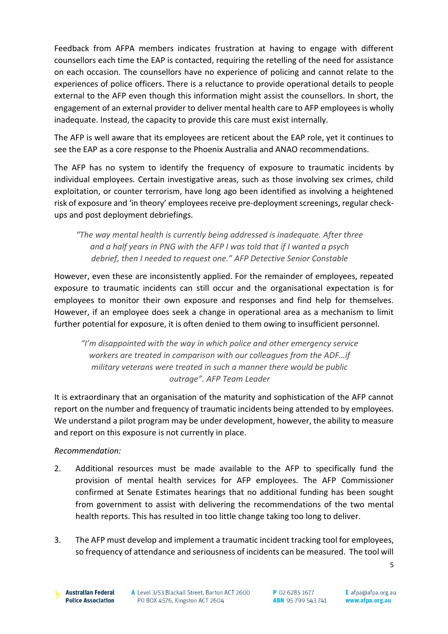Feedback from AFPA members indicates frustration at having to engage with different counsellors each time the EAP is contacted, requiring the retelling of the need for assistance on each occasion. The counsellors have no experience of policing and cannot relate to the experiences of police officers. There is a reluctance to provide operational details to people external to the AFP even though this information might assist the counsellors. In short, the engagement of an external provider to deliver mental health care to AFP employees is wholly inadequate. Instead, the capacity to provide this care must exist internally.

The AFP is well aware that its employees are reticent about the EAP role, yet it continues to see the EAP as a core response to the Phoenix Australia and ANAO recommendations.

The AFP has no system to identify the frequency of exposure to traumatic incidents by individual employees. Certain investigative areas, such as those involving sex crimes, child exploitation, or counter terrorism, have long ago been identified as involving a heightened risk of exposure and 'in theory' employees receive pre-deployment screenings, regular checkups and post deployment debriefings.

*"The way mental health is currently being addressed is inadequate. After three and a half years in PNG with the AFP I was told that if I wanted a psych debrief, then I needed to request one." AFP Detective Senior Constable*

However, even these are inconsistently applied. For the remainder of employees, repeated exposure to traumatic incidents can still occur and the organisational expectation is for employees to monitor their own exposure and responses and find help for themselves. However, if an employee does seek a change in operational area as a mechanism to limit further potential for exposure, it is often denied to them owing to insufficient personnel.

*"I'm disappointed with the way in which police and other emergency service workers are treated in comparison with our colleagues from the ADF…if military veterans were treated in such a manner there would be public outrage". AFP Team Leader*

It is extraordinary that an organisation of the maturity and sophistication of the AFP cannot report on the number and frequency of traumatic incidents being attended to by employees. We understand a pilot program may be under development, however, the ability to measure and report on this exposure is not currently in place.

## *Recommendation:*

- 2. Additional resources must be made available to the AFP to specifically fund the provision of mental health services for AFP employees. The AFP Commissioner confirmed at Senate Estimates hearings that no additional funding has been sought from government to assist with delivering the recommendations of the two mental health reports. This has resulted in too little change taking too long to deliver.
- 3. The AFP must develop and implement a traumatic incident tracking tool for employees, so frequency of attendance and seriousness of incidents can be measured. The tool will

5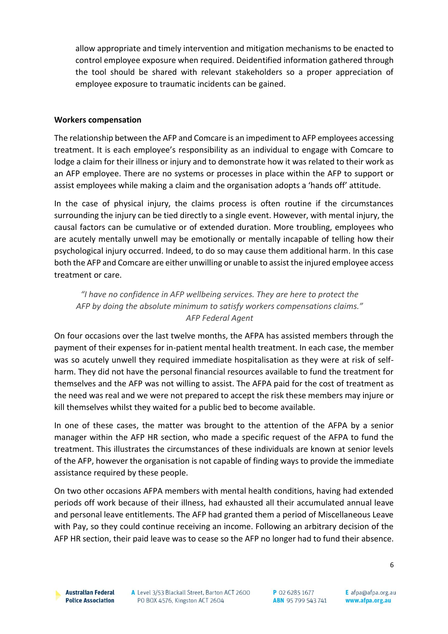allow appropriate and timely intervention and mitigation mechanisms to be enacted to control employee exposure when required. Deidentified information gathered through the tool should be shared with relevant stakeholders so a proper appreciation of employee exposure to traumatic incidents can be gained.

### **Workers compensation**

The relationship between the AFP and Comcare is an impediment to AFP employees accessing treatment. It is each employee's responsibility as an individual to engage with Comcare to lodge a claim for their illness or injury and to demonstrate how it was related to their work as an AFP employee. There are no systems or processes in place within the AFP to support or assist employees while making a claim and the organisation adopts a 'hands off' attitude.

In the case of physical injury, the claims process is often routine if the circumstances surrounding the injury can be tied directly to a single event. However, with mental injury, the causal factors can be cumulative or of extended duration. More troubling, employees who are acutely mentally unwell may be emotionally or mentally incapable of telling how their psychological injury occurred. Indeed, to do so may cause them additional harm. In this case both the AFP and Comcare are either unwilling or unable to assist the injured employee access treatment or care.

*"I have no confidence in AFP wellbeing services. They are here to protect the AFP by doing the absolute minimum to satisfy workers compensations claims." AFP Federal Agent*

On four occasions over the last twelve months, the AFPA has assisted members through the payment of their expenses for in-patient mental health treatment. In each case, the member was so acutely unwell they required immediate hospitalisation as they were at risk of selfharm. They did not have the personal financial resources available to fund the treatment for themselves and the AFP was not willing to assist. The AFPA paid for the cost of treatment as the need was real and we were not prepared to accept the risk these members may injure or kill themselves whilst they waited for a public bed to become available.

In one of these cases, the matter was brought to the attention of the AFPA by a senior manager within the AFP HR section, who made a specific request of the AFPA to fund the treatment. This illustrates the circumstances of these individuals are known at senior levels of the AFP, however the organisation is not capable of finding ways to provide the immediate assistance required by these people.

On two other occasions AFPA members with mental health conditions, having had extended periods off work because of their illness, had exhausted all their accumulated annual leave and personal leave entitlements. The AFP had granted them a period of Miscellaneous Leave with Pay, so they could continue receiving an income. Following an arbitrary decision of the AFP HR section, their paid leave was to cease so the AFP no longer had to fund their absence.

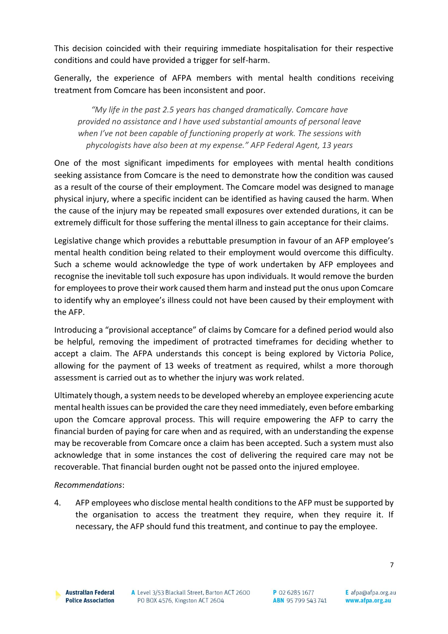This decision coincided with their requiring immediate hospitalisation for their respective conditions and could have provided a trigger for self-harm.

Generally, the experience of AFPA members with mental health conditions receiving treatment from Comcare has been inconsistent and poor.

*"My life in the past 2.5 years has changed dramatically. Comcare have provided no assistance and I have used substantial amounts of personal leave when I've not been capable of functioning properly at work. The sessions with phycologists have also been at my expense." AFP Federal Agent, 13 years*

One of the most significant impediments for employees with mental health conditions seeking assistance from Comcare is the need to demonstrate how the condition was caused as a result of the course of their employment. The Comcare model was designed to manage physical injury, where a specific incident can be identified as having caused the harm. When the cause of the injury may be repeated small exposures over extended durations, it can be extremely difficult for those suffering the mental illness to gain acceptance for their claims.

Legislative change which provides a rebuttable presumption in favour of an AFP employee's mental health condition being related to their employment would overcome this difficulty. Such a scheme would acknowledge the type of work undertaken by AFP employees and recognise the inevitable toll such exposure has upon individuals. It would remove the burden for employees to prove their work caused them harm and instead put the onus upon Comcare to identify why an employee's illness could not have been caused by their employment with the AFP.

Introducing a "provisional acceptance" of claims by Comcare for a defined period would also be helpful, removing the impediment of protracted timeframes for deciding whether to accept a claim. The AFPA understands this concept is being explored by Victoria Police, allowing for the payment of 13 weeks of treatment as required, whilst a more thorough assessment is carried out as to whether the injury was work related.

Ultimately though, a system needs to be developed whereby an employee experiencing acute mental health issues can be provided the care they need immediately, even before embarking upon the Comcare approval process. This will require empowering the AFP to carry the financial burden of paying for care when and as required, with an understanding the expense may be recoverable from Comcare once a claim has been accepted. Such a system must also acknowledge that in some instances the cost of delivering the required care may not be recoverable. That financial burden ought not be passed onto the injured employee.

## *Recommendations*:

4. AFP employees who disclose mental health conditions to the AFP must be supported by the organisation to access the treatment they require, when they require it. If necessary, the AFP should fund this treatment, and continue to pay the employee.

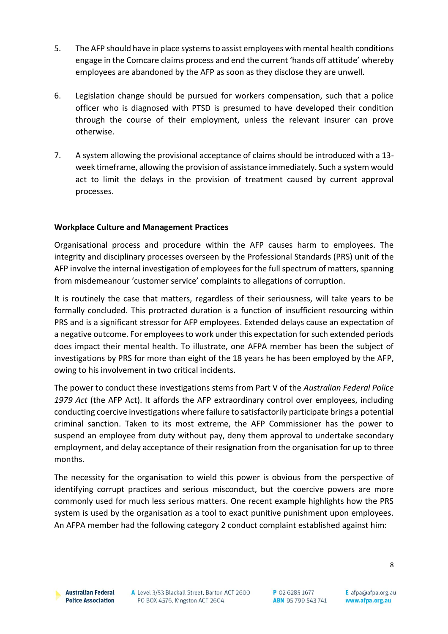- 5. The AFP should have in place systems to assist employees with mental health conditions engage in the Comcare claims process and end the current 'hands off attitude' whereby employees are abandoned by the AFP as soon as they disclose they are unwell.
- 6. Legislation change should be pursued for workers compensation, such that a police officer who is diagnosed with PTSD is presumed to have developed their condition through the course of their employment, unless the relevant insurer can prove otherwise.
- 7. A system allowing the provisional acceptance of claims should be introduced with a 13 week timeframe, allowing the provision of assistance immediately. Such a system would act to limit the delays in the provision of treatment caused by current approval processes.

## **Workplace Culture and Management Practices**

Organisational process and procedure within the AFP causes harm to employees. The integrity and disciplinary processes overseen by the Professional Standards (PRS) unit of the AFP involve the internal investigation of employees for the full spectrum of matters, spanning from misdemeanour 'customer service' complaints to allegations of corruption.

It is routinely the case that matters, regardless of their seriousness, will take years to be formally concluded. This protracted duration is a function of insufficient resourcing within PRS and is a significant stressor for AFP employees. Extended delays cause an expectation of a negative outcome. For employees to work under this expectation for such extended periods does impact their mental health. To illustrate, one AFPA member has been the subject of investigations by PRS for more than eight of the 18 years he has been employed by the AFP, owing to his involvement in two critical incidents.

The power to conduct these investigations stems from Part V of the *Australian Federal Police 1979 Act* (the AFP Act). It affords the AFP extraordinary control over employees, including conducting coercive investigations where failure to satisfactorily participate brings a potential criminal sanction. Taken to its most extreme, the AFP Commissioner has the power to suspend an employee from duty without pay, deny them approval to undertake secondary employment, and delay acceptance of their resignation from the organisation for up to three months.

The necessity for the organisation to wield this power is obvious from the perspective of identifying corrupt practices and serious misconduct, but the coercive powers are more commonly used for much less serious matters. One recent example highlights how the PRS system is used by the organisation as a tool to exact punitive punishment upon employees. An AFPA member had the following category 2 conduct complaint established against him:

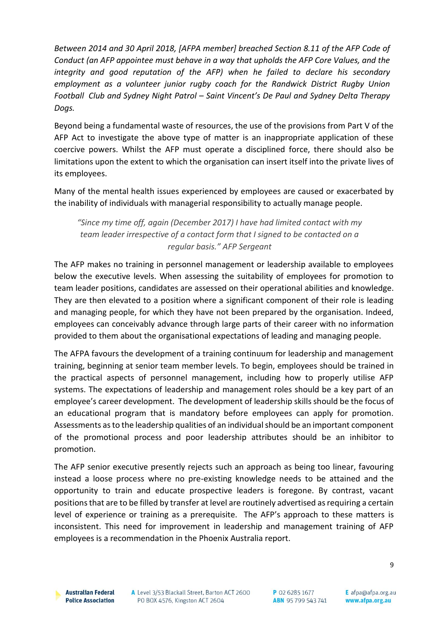*Between 2014 and 30 April 2018, [AFPA member] breached Section 8.11 of the AFP Code of Conduct (an AFP appointee must behave in a way that upholds the AFP Core Values, and the integrity and good reputation of the AFP) when he failed to declare his secondary employment as a volunteer junior rugby coach for the Randwick District Rugby Union Football Club and Sydney Night Patrol – Saint Vincent's De Paul and Sydney Delta Therapy Dogs.*

Beyond being a fundamental waste of resources, the use of the provisions from Part V of the AFP Act to investigate the above type of matter is an inappropriate application of these coercive powers. Whilst the AFP must operate a disciplined force, there should also be limitations upon the extent to which the organisation can insert itself into the private lives of its employees.

Many of the mental health issues experienced by employees are caused or exacerbated by the inability of individuals with managerial responsibility to actually manage people.

*"Since my time off, again (December 2017) I have had limited contact with my team leader irrespective of a contact form that I signed to be contacted on a regular basis." AFP Sergeant*

The AFP makes no training in personnel management or leadership available to employees below the executive levels. When assessing the suitability of employees for promotion to team leader positions, candidates are assessed on their operational abilities and knowledge. They are then elevated to a position where a significant component of their role is leading and managing people, for which they have not been prepared by the organisation. Indeed, employees can conceivably advance through large parts of their career with no information provided to them about the organisational expectations of leading and managing people.

The AFPA favours the development of a training continuum for leadership and management training, beginning at senior team member levels. To begin, employees should be trained in the practical aspects of personnel management, including how to properly utilise AFP systems. The expectations of leadership and management roles should be a key part of an employee's career development. The development of leadership skills should be the focus of an educational program that is mandatory before employees can apply for promotion. Assessments as to the leadership qualities of an individual should be an important component of the promotional process and poor leadership attributes should be an inhibitor to promotion.

The AFP senior executive presently rejects such an approach as being too linear, favouring instead a loose process where no pre-existing knowledge needs to be attained and the opportunity to train and educate prospective leaders is foregone. By contrast, vacant positions that are to be filled by transfer at level are routinely advertised as requiring a certain level of experience or training as a prerequisite. The AFP's approach to these matters is inconsistent. This need for improvement in leadership and management training of AFP employees is a recommendation in the Phoenix Australia report.